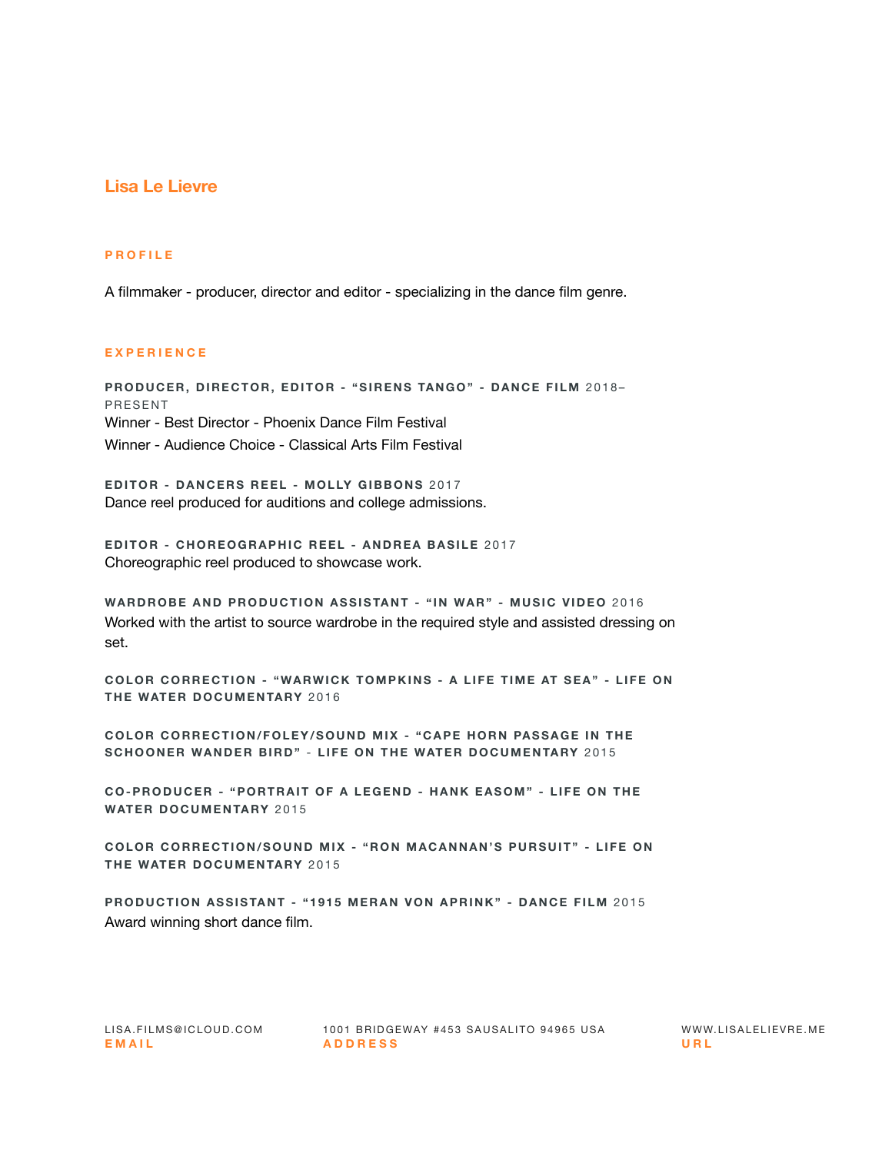## **Lisa Le Lievre**

## **PROFILE**

A filmmaker - producer, director and editor - specializing in the dance film genre.

## **EXPERIENCE**

**PRODUCER, DIRECTOR, EDITOR - "SIRENS TANGO" - DANCE FILM** 2018– PRESENT Winner - Best Director - Phoenix Dance Film Festival Winner - Audience Choice - Classical Arts Film Festival

**EDITOR - DANCERS REEL - MOLLY GIBBONS** 2017 Dance reel produced for auditions and college admissions.

**EDITOR - CHOREOGRAPHIC REEL - ANDREA BASILE** 2017 Choreographic reel produced to showcase work.

**WARDROBE AND PRODUCTION ASSISTANT - "IN WAR" - MUSIC VIDEO** 2016 Worked with the artist to source wardrobe in the required style and assisted dressing on set.

**COLOR CORRECTION - "WARWICK TOMPKINS - A LIFE TIME AT SEA" - LIFE ON THE WATER DOCUMENTARY** 2016

**COLOR CORRECTION/FOLEY/SOUND MIX - "CAPE HORN PASSAGE IN THE SCHOONER WANDER BIRD"** - **LIFE ON THE WATER DOCUMENTARY** 2015

**CO-PRODUCER - "PORTRAIT OF A LEGEND - HANK EASOM" - LIFE ON THE WATER DOCUMENTARY** 2015

**COLOR CORRECTION/SOUND MIX - "RON MACANNAN'S PURSUIT" - LIFE ON THE WATER DOCUMENTARY** 2015

**PRODUCTION ASSISTANT - "1915 MERAN VON APRINK" - DANCE FILM** 2015 Award winning short dance film.

LISA.FILMS@ICLOUD.COM 1001 BRIDGEWAY #453 SAUSALITO 94965 USA WWW.LISALELIEVRE.ME **EMAIL ADDRESS URL**